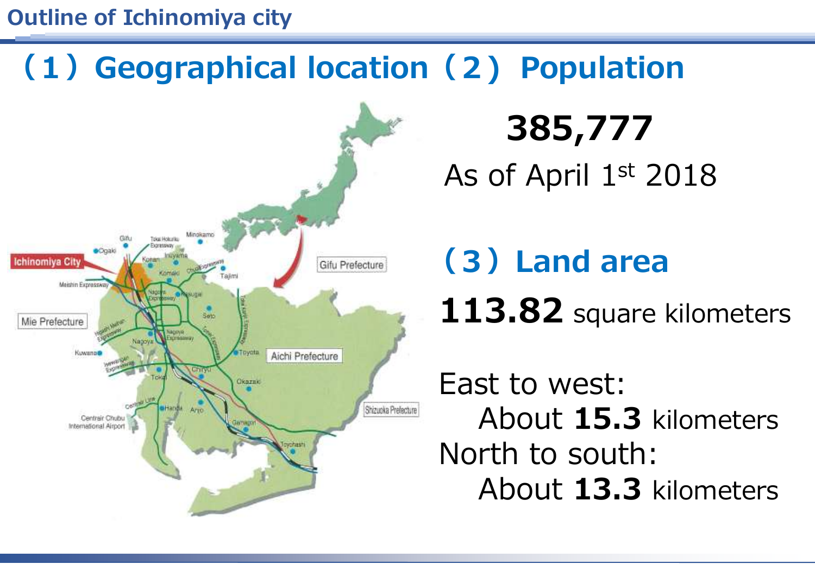#### **Outline of Ichinomiya city**

### **(2) Population (1)Geographical location**



**385,777** As of April 1st 2018

## **(3)Land area 113.82** square kilometers

East to west: About **15.3** kilometers North to south: About **13.3** kilometers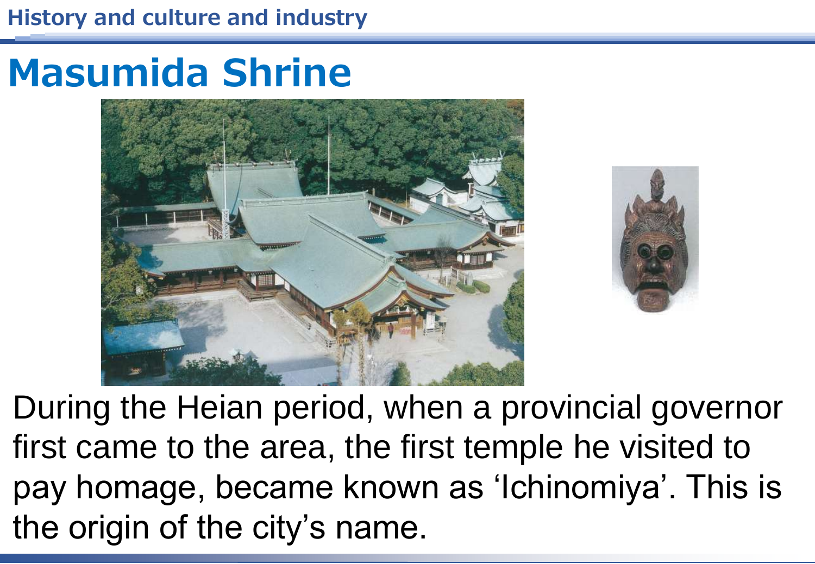## **Masumida Shrine**





During the Heian period, when a provincial governor first came to the area, the first temple he visited to pay homage, became known as 'Ichinomiya'. This is the origin of the city's name.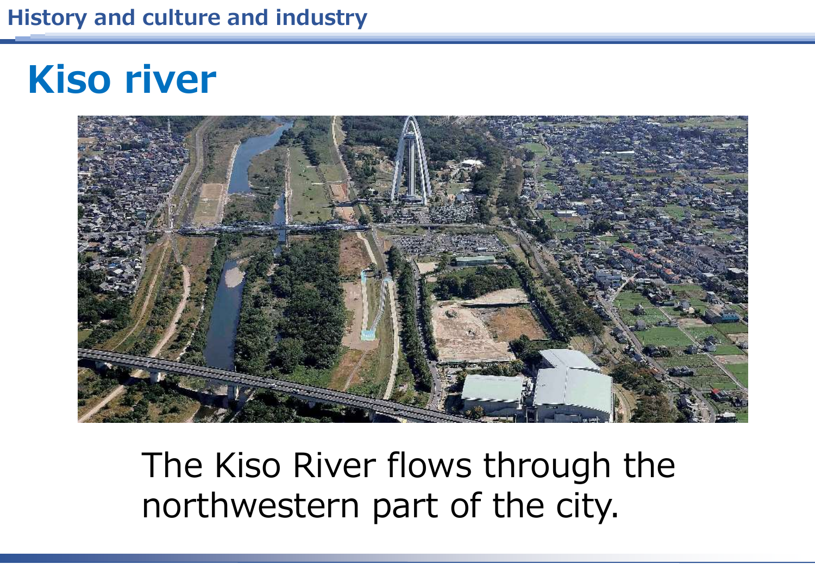## **Kiso river**



The Kiso River flows through the northwestern part of the city.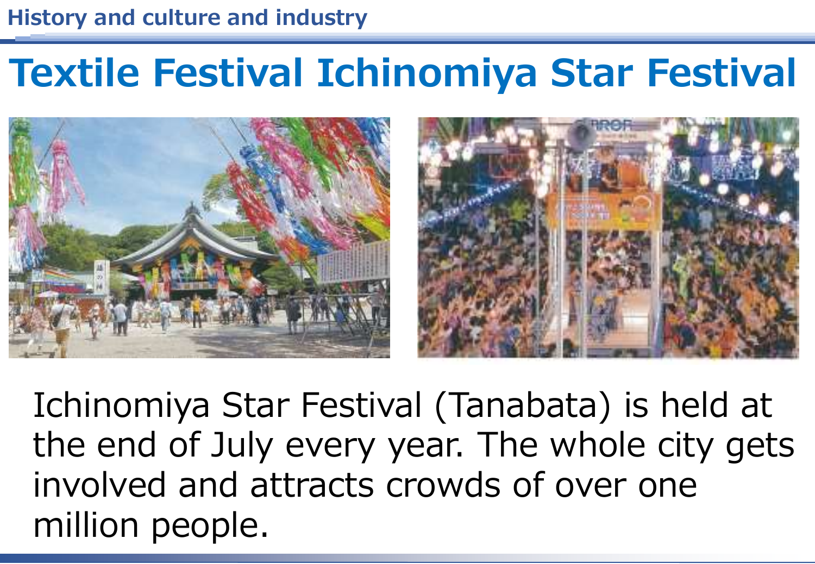### **Textile Festival Ichinomiya Star Festival**



Ichinomiya Star Festival (Tanabata) is held at the end of July every year. The whole city gets involved and attracts crowds of over one million people.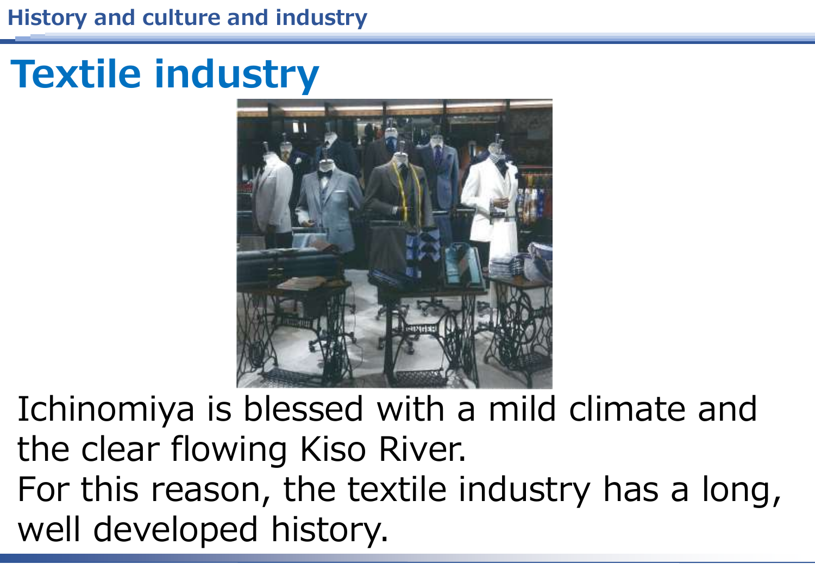# **Textile industry**



Ichinomiya is blessed with a mild climate and the clear flowing Kiso River. For this reason, the textile industry has a long, well developed history.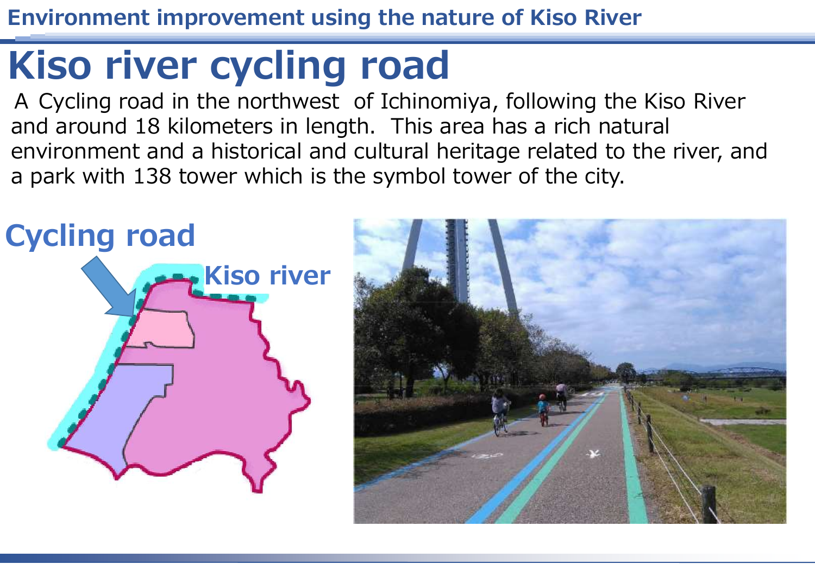**Environment improvement using the nature of Kiso River**

### **Kiso river cycling road**

A Cycling road in the northwest of Ichinomiya, following the Kiso River and around 18 kilometers in length. This area has a rich natural environment and a historical and cultural heritage related to the river, and a park with 138 tower which is the symbol tower of the city.

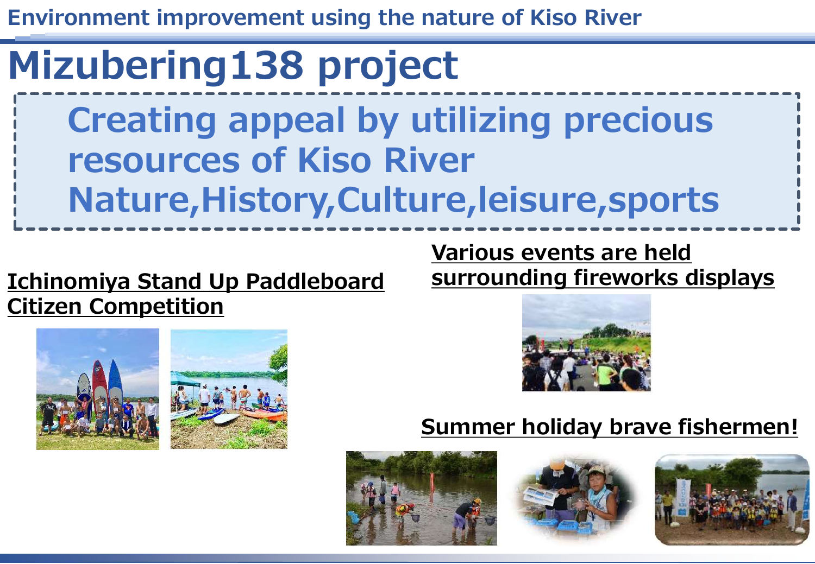**Environment improvement using the nature of Kiso River**

## **Mizubering138 project**

**Creating appeal by utilizing precious resources of Kiso River Nature,History,Culture,leisure,sports**

### **Ichinomiya Stand Up Paddleboard Citizen Competition**

**Various events are held surrounding fireworks displays**





### **Summer holiday brave fishermen!**